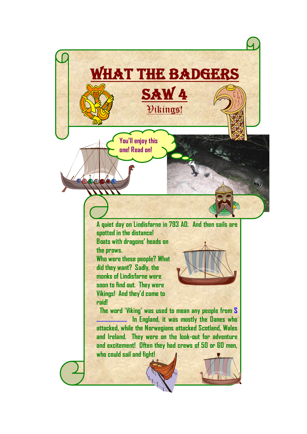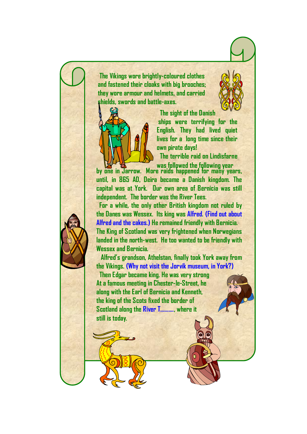**The Vikings wore brightly-coloured clothes and fastened their cloaks with big brooches; they wore armour and helmets, and carried shields, swords and battle-axes.**



 **The sight of the Danish ships were terrifying for the English. They had lived quiet lives for a long time since their own pirate days!**

 **The terrible raid on Lindisfarne** 

**by one in Jarrow. More raids happened for many years, until, in 865 AD, Deira became a Danish kingdom. The capital was at York. Our own area of Bernicia was still independent. The border was the River Tees. was followed the following year**

 **For a while, the only other British kingdom not ruled by the Danes was Wessex. Its king was Alfred. (Find out about Alfred and the cakes.) He remained friendly with Bernicia. The King of Scotland was very frightened when Norwegians landed in the north-west. He too wanted to be friendly with Wessex and Bernicia.**

 **Alfred's grandson, Athelstan, finally took York away from the Vikings. (Why not visit the Jorvik museum, in York?)**

 **Then Edgar became king. He was very strong At a famous meeting in Chester-le-Street, he along with the Earl of Bernicia and Kenneth, the king of the Scots fixed the border of Scotland along the River T………., where it still is today.**